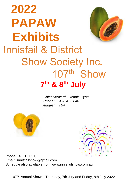# **2022 PAPAW Exhibits Innisfail & District Show Society Inc.** 107th Show



*Chief Steward: Dennis Ryan Phone: 0428 453 640 Judges: TBA*





Phone: 4061 3051, Email: innisfailshow@gmail.com Schedule also available from www.innisfailshow.com.au

107<sup>th</sup> Annual Show – Thursday, 7th July and Friday, 8th July 2022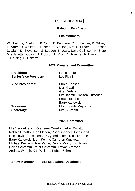# **OFFICE BEARERS**

## **Patron:** Bob Allison.

#### **Life Members**

W. Hoskins, R. Allison, K. Scott, B. Bandiera, C. Kinbacher, B. Gillan, L. Zahra, D. Walker, P. Dineen, T. Mauloni, Mrs. C. Broom, B. Dobson, D. Clark, D. Stevenson, S. Loudon, B. Lowe, Dave Collinson, N. Stoter Mrs Janette Dobson, A. Dobson, L. Picini, S. Raumer, K. Harding, J. Harding, P. Roberts.

#### **2022 Management Committee:**

| <b>President:</b><br><b>Senior Vice President:</b> | Louis Zahra<br>Les Picini                                                                                     |
|----------------------------------------------------|---------------------------------------------------------------------------------------------------------------|
| <b>Vice Presidents:</b>                            | <b>Bruce Dobson</b><br>Darryl Laffin<br>Greg Vuleta<br>Mrs Janette Dobson (Historian)<br><b>Peter Roberts</b> |
|                                                    | Barry Kanowski                                                                                                |
| Treasurer:                                         | Mrs Rhonda Mayocchi                                                                                           |
| Secretary:                                         | Mrs C Broom                                                                                                   |
|                                                    |                                                                                                               |

#### **2022 Committee**

Mrs Vera Alberich, Graheme Celedoni, Allan Croatto, Robbie Croatto, Dan Elsden, Roger Goebel, John Griffith, Ron Hawkes, Jim Horton, Gryfford Jones, Richard Jones, Barry Kanowski, Liam Kenny, Cameron Kruckow, Michael Kruckow, Ray Petrie, Dennis Ryan, Tom Ryan, David Schramm, Peter Schramm, Trevor Simpson, Andrew Waugh, Ken Weldon, Robert Zahra

**Show Manager Mrs Maddalena DeBrincat**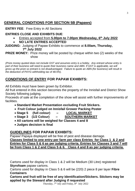# **GENERAL CONDITIONS FOR SECTION 5B (Papaws)**

**ENTRY FEE**: Free Entry in All Sections

# **ENTRIES CLOSE AND EXHIBITS DUE**:

- Entries accepted from **5.00pm to 7.00pm Wednesday, 6 th July 2022**
- **NO LATE ENTRIES ACCEPTED**

 **JUDGING:** Judging of Papaw Exhibits to commence at **8.00am, Thursday, 7 th July 2022**

**PRIZE MONEY:** Prize money will be posted by cheque within two (2) weeks of the show

*(Prize money quoted does not include GST and assumes entry is a hobby. Any entrant whose entry is part of their business will need to quote their business name and ABN. If GST is applicable, we will gross up the prize so entrant is not disadvantaged. Failure to quote an ABN (for business) will result in the deduction of PAYG withholding tax of 48.5%).*

# **CONDITIONS OF ENTRY FOR PAPAW EXHIBITS:**

All Exhibits must have been grown by Exhibitor.

All fruit entered in this section becomes the property of the Innisfail and District Show Society following judging.

Proceeds of sale at the completion of the show will assist with further improvements of facilities.

- **Standard Market Presentation excluding Fruit Stickers.**
- **Fruit Colour judged on Innisfail Grower Packing Poster**
- **Stage 5 (full colour) LOCAL MARKET**
- **Stage 3 (1/2 Colour) SOUTHERN MARKET**
- **All cartons will be weighed for Classes 4 and 8**
- **Judges decision is final**

# **GUIDELINES FOR PAPAW EXHIBITS:**

Papaw/ Papaya displayed will be free of pest and disease damage. **Classes limited to one entry per farm per class Entries for Class 1 & 2 and Entries for Class 5 & 6 as per judging criteria. Entries for Classes 3 and 7 will be from Class 1 & 2 and Class 5 & 6. Class 4 and 8 as per judging criteria.**

Cartons used for display in Class 1 & 2 will be Medium (30 Litre) registered **Styrofoam** papaw cartons.

Cartons used for display in Class 5 & 6 will be (220) 2 piece 8 per layer **Fibre Containers**

**Cartons and fruit will be free of any Identification/Stickers. Stickers may be applied by the Steward after Judging if requested**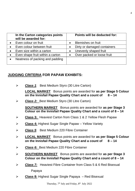| In the Carton categories points<br>will be awarded for: | Points will be deducted for:             |
|---------------------------------------------------------|------------------------------------------|
| Even colour on fruit                                    | Blemishes on fruit                       |
| Even colour between fruit                               | Dirty or damaged containers<br>$\bullet$ |
| Even size within a carton                               | Unevenly shaped fruit                    |
| Even shape fruit within a carton                        | Over packed or loose fruit               |
| Neatness of packing and padding                         |                                          |

# **JUDGING CRITERIA FOR PAPAW EXHIBITS:**

➢ *Class 1*: Best Medium Styro (30 Litre Carton)

**LOCAL MARKET** Bonus points are awarded for **as per Stage 5 Colour on the Innisfail Papaw Quality Chart and a count of 8 – 14**

➢ *Class 2:* Best Medium Styro (30 Litre Carton)

**SOUTHERN MARKET** Bonus points are awarded for **as per Stage 3 Colour on the Innisfail Papaw Quality Chart and a count of 8 – 14**

- ➢ **Class 3:** Heaviest Carton from Class 1 & 2 Yellow Flesh Papaw
- ➢ **Class 4:** Highest Sugar Single Papaw Yellow Variety
- ➢ *Class 5*: Best Medium 220 Fibre Container
- ➢ **LOCAL MARKET** Bonus points are awarded for **as per Stage 5 Colour on the Innisfail Papaw Quality Chart and a count of 8 – 14**
- ➢ *Class 6:* Best Medium 220 Fibre Container
- ➢ **SOUTHERN MARKET** Bonus points are awarded for **as per Stage 3 Colour on the Innisfail Papaw Quality Chart and a count of 8 – 14**
- ➢ *Class 7:* Heaviest Fibre Container from Class 5 & 6 Red Bisexual Papaya
- ➢ **Class 8:** Highest Sugar Single Papaya Red Bisexual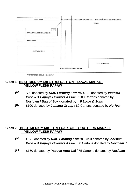

**PALMERSTON DRIVE - HIGHWAY** 

# **Class 1 BEST MEDIUM (30 LITRE) CARTON – LOCAL MARKET –YELLOW FLESH PAPAW**

- **1 ST** \$50 donated by *RMC Farming Enterp* / \$125 donated by *Innisfail*  **Papaw & Papaya Growers Assoc.** / 100 Cartons donated by **Norfoam / Bag of Sox donated by** *F Lowe & Sons*
- **2 ND** \$100 donated by *Lamana Group* / 80 Cartons donated by *Norfoam*

# **Class 2 BEST MEDIUM (30 LITRE) CARTON – SOUTHERN MARKET –YELLOW FLESH PAPAW**

- **1 ST** \$125 donated by *RMC Farming Enterp* / \$50 donated by *Innisfail Papaw & Papaya Growers Assoc.* 80 Cartons donated by *Norfoam* /
- **2 nd** \$150 donated by **Papaya Aust Ltd** / 75 Cartons donated by *Norfoam*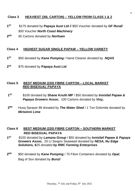#### **Class 3 HEAVIEST (30L CARTON) – YELLOW FROM CLASS 1 & 2**

- **1 ST** \$175 donated by **Papaya Aust Ltd /**/ \$50 Voucher donated by *GF Rural/ \$50 Voucher North Coast Machinery*
- **2**ND **ND** 65 Cartons donated by *Norfoam*

#### **Class 4****HIGHEST SUGAR SINGLE PAPAW – YELLOW VARIETY**

- **1 ST** \$50 donated by *Kane Pumping* / Hand Cleaner donated by *NQAS*
- $2<sub>n</sub>$ d \$75 donated by **Papaya Aust Ltd**

#### **Class 5***.* **BEST MEDIUM (220) FIBRE CARTON – LOCAL MARKET RED BISEXUAL PAPAYA**

- **1 ST** \$100 donated by **Shane Knuth MP** / \$50 donated by *Innisfail Papaw & Papaya Growers Assoc.* 100 Cartons donated by *Visy,*
- **2** Husg Sprayer 8lt donated by **The Water Shed** / 1 Ton Dolomite donated by *Miriwinni Lime*

# **Class 6****BEST MEDIUM (220) FIBRE CARTON – SOUTHERN MARKET RED BISEXUAL PAPAYA**

- **1 ST** \$150 donated by *Lamana Group* / \$50 donated by *Innisfail Papaw & Papaya Growers Assoc.* 20 Lt Seapro Seaweed donated by *NESA, Nu Edge Solutions, \$25 donated by RMC Farming Enterprises*
- **2**ND **ND** \$50 donated by *Kane Pumping* / 75 Fibre Containers donated by *Opal*, Bag of Sox donated by *Bunzl*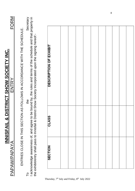|                                                                      | <b>PAPAW/PAPAYA</b> |       | INNISFAIL & DISTRICT SHOW SOCIETY INC.<br>ENTRY                                                                                                                                                                                    | FORM      |
|----------------------------------------------------------------------|---------------------|-------|------------------------------------------------------------------------------------------------------------------------------------------------------------------------------------------------------------------------------------|-----------|
|                                                                      |                     |       | ENTRIES CLOSE IN THIS SECTION AS FOLLOWS IN ASSENIA THIS SECTION ASSENTED UNITATIVE.                                                                                                                                               |           |
| م                                                                    |                     |       | I acknowledge awareness of, and agree to be bound by, the rules and terms of the schedule and that property in<br>the exhibit/entry shall pass to Innisfail & District Show Society Incorporated upon the signing hereof :-<br>the | Secretary |
|                                                                      |                     |       |                                                                                                                                                                                                                                    |           |
| Thursday, 7 <sup>th</sup> July and Friday, 8 <sup>th</sup> July 2022 | <b>SECTION</b>      | CLASS | DESCRIPTION OF EXHIBIT                                                                                                                                                                                                             |           |
|                                                                      |                     |       |                                                                                                                                                                                                                                    |           |
|                                                                      |                     |       |                                                                                                                                                                                                                                    |           |
|                                                                      |                     |       |                                                                                                                                                                                                                                    |           |
|                                                                      |                     |       |                                                                                                                                                                                                                                    |           |
|                                                                      |                     |       |                                                                                                                                                                                                                                    |           |
|                                                                      |                     |       |                                                                                                                                                                                                                                    |           |
|                                                                      |                     |       |                                                                                                                                                                                                                                    |           |
|                                                                      |                     |       |                                                                                                                                                                                                                                    |           |
|                                                                      |                     |       |                                                                                                                                                                                                                                    |           |
|                                                                      |                     |       |                                                                                                                                                                                                                                    |           |

8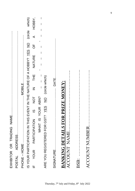| IS YOUR PARTICIPATION IN THIS EVENT IN THE NATURE OF A HOBBY? YES NO (circle which)                                                                                                                                                                                                                                                                                                                                                                                                                                                                                                                                       |
|---------------------------------------------------------------------------------------------------------------------------------------------------------------------------------------------------------------------------------------------------------------------------------------------------------------------------------------------------------------------------------------------------------------------------------------------------------------------------------------------------------------------------------------------------------------------------------------------------------------------------|
| IF YOUR PARTURE NE HHE THE SO US ON SONG TO HOBY,                                                                                                                                                                                                                                                                                                                                                                                                                                                                                                                                                                         |
| $\begin{array}{c} \end{array}$<br>$\begin{array}{c} \rule{0pt}{2.5ex} \rule{0pt}{2.5ex} \rule{0pt}{2.5ex} \rule{0pt}{2.5ex} \rule{0pt}{2.5ex} \rule{0pt}{2.5ex} \rule{0pt}{2.5ex} \rule{0pt}{2.5ex} \rule{0pt}{2.5ex} \rule{0pt}{2.5ex} \rule{0pt}{2.5ex} \rule{0pt}{2.5ex} \rule{0pt}{2.5ex} \rule{0pt}{2.5ex} \rule{0pt}{2.5ex} \rule{0pt}{2.5ex} \rule{0pt}{2.5ex} \rule{0pt}{2.5ex} \rule{0pt}{2.5ex} \rule{0$<br>$\overline{1}$<br>$\overline{1}$<br>$\begin{array}{c} \end{array}$<br>$\overline{\phantom{a}}$<br>$\overline{1}$<br>$\begin{array}{c} \end{array}$<br>$\overline{\phantom{a}}$<br>WHAT IS YOUR ABN? |
| ARE YOU REGISTERED FOR GST? YES NO (circle which)                                                                                                                                                                                                                                                                                                                                                                                                                                                                                                                                                                         |
| SIGNATURE                                                                                                                                                                                                                                                                                                                                                                                                                                                                                                                                                                                                                 |
| <b>BANKING DETAILS FOR PRIZE MONEY:</b>                                                                                                                                                                                                                                                                                                                                                                                                                                                                                                                                                                                   |
| ACCOUNT_NAME………………………………………                                                                                                                                                                                                                                                                                                                                                                                                                                                                                                                                                                                               |
| BSB: ………………………………………………………                                                                                                                                                                                                                                                                                                                                                                                                                                                                                                                                                                                                |

BSB: ………………………………………………….

ACCOUNT NUMBER………………………………..

9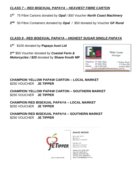# *CLASS 7 – RED BISEXUAL PAPAYA – HEAVIEST FIBRE CARTON*

- **1 ST** 75 Fibre Cartons donated by *Opal* / *\$50 Voucher North Coast Machinery*
- **2 ND** 50 Fibre Containers donated by *Opal* / \$50 donated by Voucher *GF Rural*

# *CLASS 8 - RED BISEXUAL PAPAYA – HIGHEST SUGAR SINGLE PAPAYA*

**1 ST** \$100 donated by **Papaya Aust Ltd** 

**2 nd** \$50 Voucher donated by *Coastal Farm & Motorcycles / \$25* donated by **Shane Knuth MP**



**CHAMPION YELLOW PAPAW CARTON – LOCAL MARKET** \$250 VOUCHER **JE TIPPER**

**CHAMPION YELLOW PAPAW CARTON – SOUTHERN MARKET** \$250 VOUCHER **JE TIPPER**

**CHAMPION RED BISEXUAL PAPAYA – LOCAL MARKET** \$250 VOUCHER **JE TIPPER**

# **CHAMPION RED BISEXUAL PAPAYA – SOUTHERN MARKET** \$250 VOUCHER **JE TIPPER**



#### **DAVID WOOD**

RAILING NO 5 **BLOCK C BRISBANE MARKET** 

**PO Box 27 BRISBANE MARKET** ROCKLEA Q 4106

PHONE: (07) 3379 1041 FAX: (07) 3379 4817 MOBILE: 0418 728 428 A/H FAX: (07) 3300 9916 EMAIL: dwood@ietipper.com.au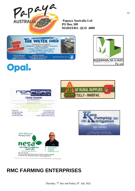

**Papaya Australia Ltd PO Box 309 MAREEBA QLD 4880**









Manufacturers of Polystyrene Seafood and Produce Packaging,<br>Norsiab Waffle Pods and Polystyrene Sheeting,<br>Manufacture, Supply & Installation of Insulated Panel, Cold Rooms,<br>Rooming & Patio Kits.

| <b>P.O. Box 93</b>  | A.B.N. 44 095 402 934      | Ph: (07) 4061 3778    |
|---------------------|----------------------------|-----------------------|
| Innisfail, OLD 4860 |                            | Fax: (07) 4061 2691 - |
| 32 Clifford Road.   |                            | Mobile: 0447 843 550  |
| Innisfail, OLD 4860 | Email craig@norfoam.com.au |                       |





MIRIWINNI LIME

Ptv. Utd

# **RMC FARMING ENTERPRISES**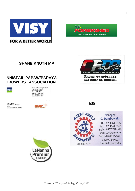



# **SHANE KNUTH MP**

# **INNISFAIL PAPAW/PAPAYA GROWERS ASSOCIATION**



Bunz! Outsourcing Services<br>ABN 99 007 286 133<br>42-44 Ponzo Street<br>Woree QLD 4868<br>Tel: +61 7 4040 9000<br>Kax: +61 7 4040 9000<br>Mob: 0418 685 072

Garry Rumler<br>Sales & Retail Manager garry.rumler@bunzl.com.au





141 Edith St, Innisfail

**SHA**



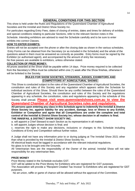# **GENERAL CONDITIONS FOR THIS SECTION**

This show is held under the Rules and Regulations of the Queensland Chamber of Agricultural Societies and the Innisfail and District Show Society Inc.

For particulars regarding Entry Fees, dates of closing of entries, dates and times for delivery of exhibits and special conditions relating to particular Sections, refer to the relevant Section notes in this Schedule. Intending exhibitors are advised to read the Schedule carefully and to be sure to enter exhibits into correct Classes.

#### **HOW TO ENTER EXHIBITS:**

Entries will not be accepted over the phone or after the closing date as shown in the various schedules. Entry Forms can be obtained from the Secretary (or as included in the Schedule) and the whole of the questions asked in them must be answered as correctly as possible. Entry forms must be signed by the Exhibitor (or authorised agent), and accompanied by the amount of entry fee necessary.

No free passes are available to exhibitors, unless otherwise stated.

#### **COLLECTION OF PRIZE MONEY:**

All prizes awarded at the Show shall be payable within 14 days. Prize money required to be collected from the Secretary's Office must be collected within one (1) week after the Show finishes, otherwise it will be forfeited to the Society.

#### **RULES FOR SHOW SOCIETIES, STEWARDS, JUDGES, EXHIBITORS AND COMPETITORS AT AGRICULTURAL SHOWS:**

This Show is conducted subject to the rules of the Queensland Chamber of Agricultural Societies, the constitution and rules of this Society and any regulation which appears within the Schedule for individual sections of this Show. Should there be any conflict between the rules of the Queensland Chamber of Agricultural Societies, the constitution and rules of this Society and the regulations appearing in any schedule, the constitution, rules and regulations appearing in the schedule of this

#### Society shall prevail. **Please visit www.queenslandshows.com.au to view the Queensland Chamber of Agricultural Societies rules and regulations.**

**All persons upon entering any class in this Schedule agree to indemnify the Innisfail & District Show Society Inc. against liability for any accident, damage, loss or illness to any Exhibit, Exhibitor or Competitor and agree that all Competitions are under the complete and total control of the Innisfail & District Show Society Inc; whose decision in all matters is final. THE INNISFAIL & DISTRICT SHOW SOCIETY INC.** 

a. will appoint a Chief Steward to each Section as its representative in all matters;

b. will appoint Judges whose decision is final; and

c. reserves the right to make any decisions, inclusions or changes to this Schedule including Conditions of Entry and Competition without further notice.

A Judge shall not have any information prior to or during judging at The Innisfail Show 2021 other than what is provided by the Innisfail & District Show Society Inc.

All electrical leads must be tagged in accordance with the relevant industrial regulations.

No glass is to be brought onto the Grounds.

All Veterinarian fees are the responsibility of the Owner of the animal. Innisfail Show will not take responsibility for any veterinarian fees.

#### **PRIZE MONEY**

Prize Money stated in the Schedule excludes GST.

GST will be added to the Prize Money for Exhibitors who are registered for GST purposes.

The Association will provide a "Recipient Created Tax Invoice" to Exhibitors who are registered for GST purposes.

No art union, raffle or game of chance will be allowed without the approval of the Committee.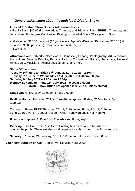# *General Information about the Innisfail & District Show:*

#### **Innisfail & District Show Society Admission Prices**:

▪ Family Pass \$40.00 (incl two adults Thursday and Friday, children **FREE** Thursday, and two children Friday plus Car Parking Pass) purchased at Show Office prior to Show

- Gate entry: \$17.00 per adult (16 yrs & over); Aged/Vet/Disabled Pensioners \$10.00 (i.d.
- required); \$8.00 per child (5-15yrs):children under 5 free
- Cars \$2.00

**Attractions and Exhibits:** Needlework, Domestic (Culinary), Photography, Art, Woodwork, Horticulture, Banana Exhibits, Banana Packing Competition, Papaw, Sugarcane, Horse & Ring, Cattle, Musicians, Animal enclosures.......and more

#### **Show Office Hours:**

**Tuesday 14th June to Friday 17th June 2022 – 10.00am-2.30pm Tuesday 21st June to Wednesday 6th July 2022 – 10.00am-5.00pm Saturday 9th July 2022 – 9.00am to 12.00pm\* Monday 11th July to Friday 15th July 2022 – 9.00am-3.00pm (Note: Show Office not opened weekends, unless stated)**

**Gates Open**: Thursday, 11.00am; Friday 9.00am

**Pavilion Hours:** Thursday, 7<sup>th</sup>July 11am-10pm (approx); Friday, 8<sup>th</sup> July 9am-10pm (approx)

**Transport: Buses FREE** Thursday, 7<sup>th</sup> July 5-10pm and Friday 8<sup>th</sup> July 3-10pm (King George Park →Central Arcade→KMart→Showgrounds, Half Hourly)

**Fireworks:** Approx. 8.30pm both Thursday and Friday nights

**Catering:** The Hall in the Russ Hinze Building has meals and a bar which is open to the public. There are also local organisations throughout the Showgrounds.

**Security:** Roaming Wednesday, 6<sup>th</sup> July 6.00pm to Saturday 9<sup>th</sup> July 8.00am

**Veterinary Surgeon on Call**: Topical Vet Services 4061 2900